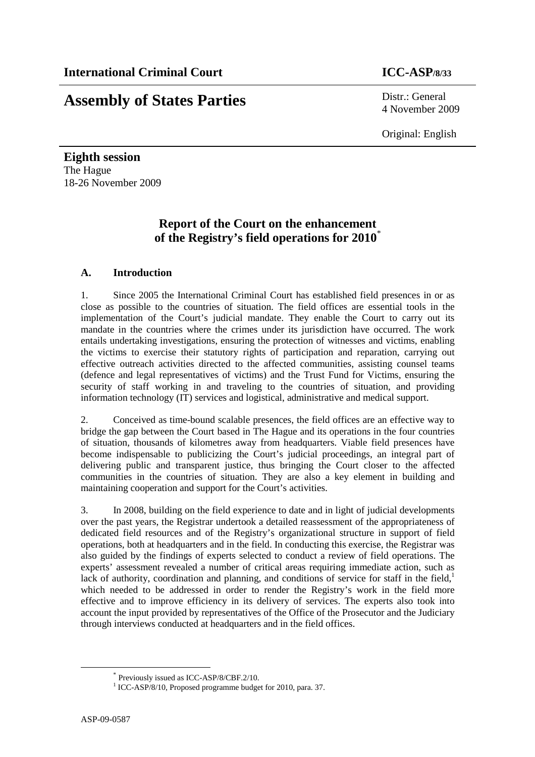# **Assembly of States Parties** Distr.: General

4 November 2009

Original: English

**Eighth session**  The Hague 18-26 November 2009

### **Report of the Court on the enhancement of the Registry's field operations for 2010**\*

### **A. Introduction**

1. Since 2005 the International Criminal Court has established field presences in or as close as possible to the countries of situation. The field offices are essential tools in the implementation of the Court's judicial mandate. They enable the Court to carry out its mandate in the countries where the crimes under its jurisdiction have occurred. The work entails undertaking investigations, ensuring the protection of witnesses and victims, enabling the victims to exercise their statutory rights of participation and reparation, carrying out effective outreach activities directed to the affected communities, assisting counsel teams (defence and legal representatives of victims) and the Trust Fund for Victims, ensuring the security of staff working in and traveling to the countries of situation, and providing information technology (IT) services and logistical, administrative and medical support.

2. Conceived as time-bound scalable presences, the field offices are an effective way to bridge the gap between the Court based in The Hague and its operations in the four countries of situation, thousands of kilometres away from headquarters. Viable field presences have become indispensable to publicizing the Court's judicial proceedings, an integral part of delivering public and transparent justice, thus bringing the Court closer to the affected communities in the countries of situation. They are also a key element in building and maintaining cooperation and support for the Court's activities.

3. In 2008, building on the field experience to date and in light of judicial developments over the past years, the Registrar undertook a detailed reassessment of the appropriateness of dedicated field resources and of the Registry's organizational structure in support of field operations, both at headquarters and in the field. In conducting this exercise, the Registrar was also guided by the findings of experts selected to conduct a review of field operations. The experts' assessment revealed a number of critical areas requiring immediate action, such as lack of authority, coordination and planning, and conditions of service for staff in the field, $<sup>1</sup>$ </sup> which needed to be addressed in order to render the Registry's work in the field more effective and to improve efficiency in its delivery of services. The experts also took into account the input provided by representatives of the Office of the Prosecutor and the Judiciary through interviews conducted at headquarters and in the field offices.

<sup>\*</sup> Previously issued as ICC-ASP/8/CBF.2/10.

<sup>&</sup>lt;sup>1</sup> ICC-ASP/8/10, Proposed programme budget for 2010, para. 37.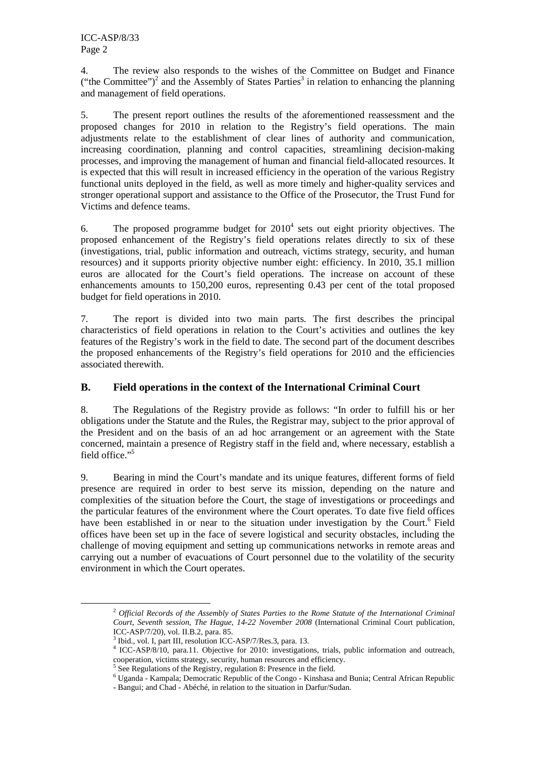4. The review also responds to the wishes of the Committee on Budget and Finance ("the Committee")<sup>2</sup> and the Assembly of States Parties<sup>3</sup> in relation to enhancing the planning and management of field operations.

5. The present report outlines the results of the aforementioned reassessment and the proposed changes for 2010 in relation to the Registry's field operations. The main adjustments relate to the establishment of clear lines of authority and communication, increasing coordination, planning and control capacities, streamlining decision-making processes, and improving the management of human and financial field-allocated resources. It is expected that this will result in increased efficiency in the operation of the various Registry functional units deployed in the field, as well as more timely and higher-quality services and stronger operational support and assistance to the Office of the Prosecutor, the Trust Fund for Victims and defence teams.

6. The proposed programme budget for  $2010<sup>4</sup>$  sets out eight priority objectives. The proposed enhancement of the Registry's field operations relates directly to six of these (investigations, trial, public information and outreach, victims strategy, security, and human resources) and it supports priority objective number eight: efficiency. In 2010, 35.1 million euros are allocated for the Court's field operations. The increase on account of these enhancements amounts to 150,200 euros, representing 0.43 per cent of the total proposed budget for field operations in 2010.

7. The report is divided into two main parts. The first describes the principal characteristics of field operations in relation to the Court's activities and outlines the key features of the Registry's work in the field to date. The second part of the document describes the proposed enhancements of the Registry's field operations for 2010 and the efficiencies associated therewith.

### **B. Field operations in the context of the International Criminal Court**

8. The Regulations of the Registry provide as follows: "In order to fulfill his or her obligations under the Statute and the Rules, the Registrar may, subject to the prior approval of the President and on the basis of an ad hoc arrangement or an agreement with the State concerned, maintain a presence of Registry staff in the field and, where necessary, establish a field office."<sup>5</sup>

9. Bearing in mind the Court's mandate and its unique features, different forms of field presence are required in order to best serve its mission, depending on the nature and complexities of the situation before the Court, the stage of investigations or proceedings and the particular features of the environment where the Court operates. To date five field offices have been established in or near to the situation under investigation by the Court.<sup>6</sup> Field offices have been set up in the face of severe logistical and security obstacles, including the challenge of moving equipment and setting up communications networks in remote areas and carrying out a number of evacuations of Court personnel due to the volatility of the security environment in which the Court operates.

<sup>2</sup> *Official Records of the Assembly of States Parties to the Rome Statute of the International Criminal Court, Seventh session, The Hague, 14-22 November 2008* (International Criminal Court publication, ICC-ASP/7/20), vol. II.B.2, para. 85.

<sup>&</sup>lt;sup>3</sup> Ibid., vol. I, part III, resolution ICC-ASP/7/Res.3, para. 13.

<sup>4</sup> ICC-ASP/8/10, para.11. Objective for 2010: investigations, trials, public information and outreach,

cooperation, victims strategy, security, human resources and efficiency. 5 See Regulations of the Registry, regulation 8: Presence in the field.

<sup>6</sup> Uganda - Kampala; Democratic Republic of the Congo - Kinshasa and Bunia; Central African Republic

<sup>-</sup> Bangui; and Chad - Abéché, in relation to the situation in Darfur/Sudan.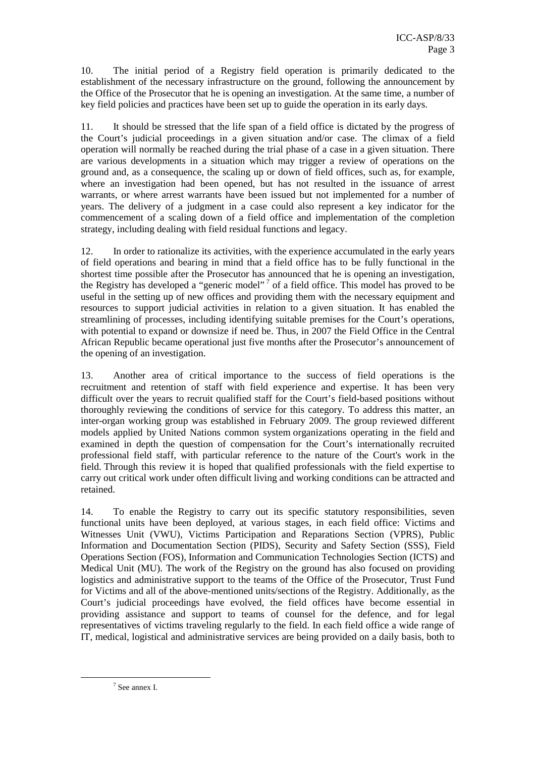10. The initial period of a Registry field operation is primarily dedicated to the establishment of the necessary infrastructure on the ground, following the announcement by the Office of the Prosecutor that he is opening an investigation. At the same time, a number of key field policies and practices have been set up to guide the operation in its early days.

11. It should be stressed that the life span of a field office is dictated by the progress of the Court's judicial proceedings in a given situation and/or case. The climax of a field operation will normally be reached during the trial phase of a case in a given situation. There are various developments in a situation which may trigger a review of operations on the ground and, as a consequence, the scaling up or down of field offices, such as, for example, where an investigation had been opened, but has not resulted in the issuance of arrest warrants, or where arrest warrants have been issued but not implemented for a number of years. The delivery of a judgment in a case could also represent a key indicator for the commencement of a scaling down of a field office and implementation of the completion strategy, including dealing with field residual functions and legacy.

12. In order to rationalize its activities, with the experience accumulated in the early years of field operations and bearing in mind that a field office has to be fully functional in the shortest time possible after the Prosecutor has announced that he is opening an investigation, the Registry has developed a "generic model"<sup>7</sup> of a field office. This model has proved to be useful in the setting up of new offices and providing them with the necessary equipment and resources to support judicial activities in relation to a given situation. It has enabled the streamlining of processes, including identifying suitable premises for the Court's operations, with potential to expand or downsize if need be. Thus, in 2007 the Field Office in the Central African Republic became operational just five months after the Prosecutor's announcement of the opening of an investigation.

13. Another area of critical importance to the success of field operations is the recruitment and retention of staff with field experience and expertise. It has been very difficult over the years to recruit qualified staff for the Court's field-based positions without thoroughly reviewing the conditions of service for this category. To address this matter, an inter-organ working group was established in February 2009. The group reviewed different models applied by United Nations common system organizations operating in the field and examined in depth the question of compensation for the Court's internationally recruited professional field staff, with particular reference to the nature of the Court's work in the field. Through this review it is hoped that qualified professionals with the field expertise to carry out critical work under often difficult living and working conditions can be attracted and retained.

14. To enable the Registry to carry out its specific statutory responsibilities, seven functional units have been deployed, at various stages, in each field office: Victims and Witnesses Unit (VWU), Victims Participation and Reparations Section (VPRS), Public Information and Documentation Section (PIDS), Security and Safety Section (SSS), Field Operations Section (FOS), Information and Communication Technologies Section (ICTS) and Medical Unit (MU). The work of the Registry on the ground has also focused on providing logistics and administrative support to the teams of the Office of the Prosecutor, Trust Fund for Victims and all of the above-mentioned units/sections of the Registry. Additionally, as the Court's judicial proceedings have evolved, the field offices have become essential in providing assistance and support to teams of counsel for the defence, and for legal representatives of victims traveling regularly to the field. In each field office a wide range of IT, medical, logistical and administrative services are being provided on a daily basis, both to

<sup>7</sup> See annex I.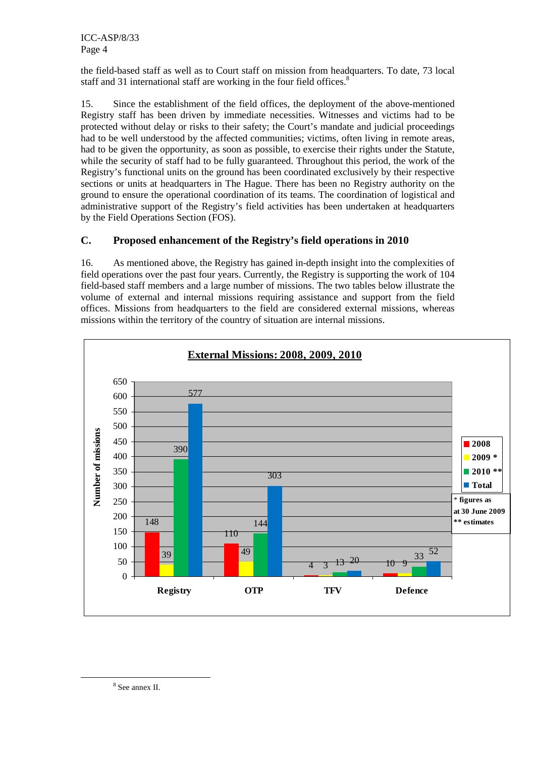ICC-ASP/8/33 Page 4

the field-based staff as well as to Court staff on mission from headquarters. To date, 73 local staff and 31 international staff are working in the four field offices.<sup>8</sup>

15. Since the establishment of the field offices, the deployment of the above-mentioned Registry staff has been driven by immediate necessities. Witnesses and victims had to be protected without delay or risks to their safety; the Court's mandate and judicial proceedings had to be well understood by the affected communities; victims, often living in remote areas, had to be given the opportunity, as soon as possible, to exercise their rights under the Statute, while the security of staff had to be fully guaranteed. Throughout this period, the work of the Registry's functional units on the ground has been coordinated exclusively by their respective sections or units at headquarters in The Hague. There has been no Registry authority on the ground to ensure the operational coordination of its teams. The coordination of logistical and administrative support of the Registry's field activities has been undertaken at headquarters by the Field Operations Section (FOS).

### **C. Proposed enhancement of the Registry's field operations in 2010**

16. As mentioned above, the Registry has gained in-depth insight into the complexities of field operations over the past four years. Currently, the Registry is supporting the work of 104 field-based staff members and a large number of missions. The two tables below illustrate the volume of external and internal missions requiring assistance and support from the field offices. Missions from headquarters to the field are considered external missions, whereas missions within the territory of the country of situation are internal missions.



8 See annex II.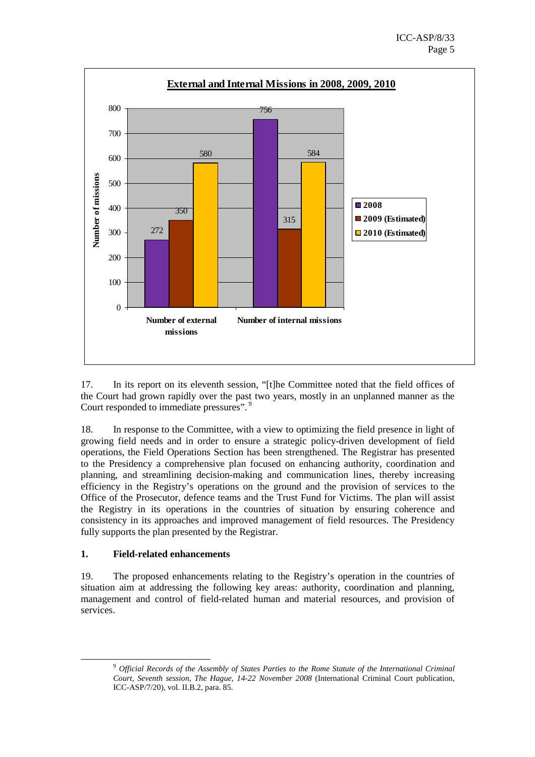

17. In its report on its eleventh session, "[t]he Committee noted that the field offices of the Court had grown rapidly over the past two years, mostly in an unplanned manner as the Court responded to immediate pressures".<sup>9</sup>

18. In response to the Committee, with a view to optimizing the field presence in light of growing field needs and in order to ensure a strategic policy-driven development of field operations, the Field Operations Section has been strengthened. The Registrar has presented to the Presidency a comprehensive plan focused on enhancing authority, coordination and planning, and streamlining decision-making and communication lines, thereby increasing efficiency in the Registry's operations on the ground and the provision of services to the Office of the Prosecutor, defence teams and the Trust Fund for Victims. The plan will assist the Registry in its operations in the countries of situation by ensuring coherence and consistency in its approaches and improved management of field resources. The Presidency fully supports the plan presented by the Registrar.

#### **1. Field-related enhancements**

 $\overline{a}$ 

19. The proposed enhancements relating to the Registry's operation in the countries of situation aim at addressing the following key areas: authority, coordination and planning, management and control of field-related human and material resources, and provision of services.

<sup>9</sup> *Official Records of the Assembly of States Parties to the Rome Statute of the International Criminal Court, Seventh session, The Hague, 14-22 November 2008* (International Criminal Court publication, ICC-ASP/7/20), vol. II.B.2, para. 85.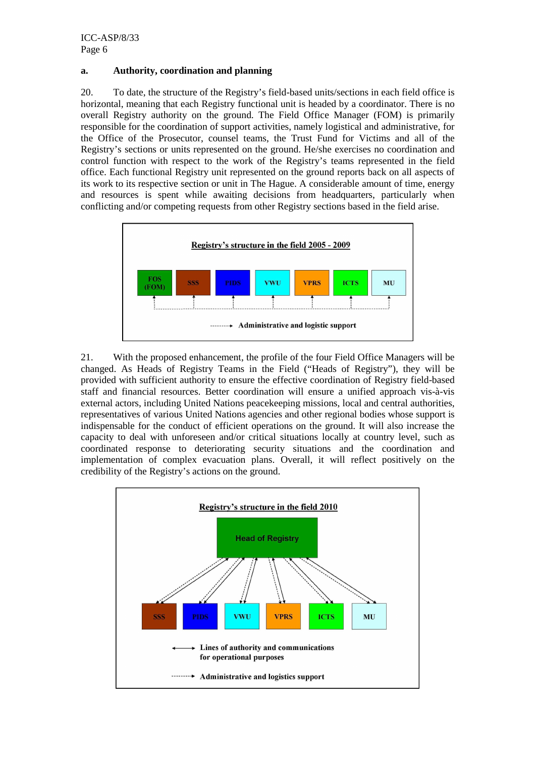#### **a. Authority, coordination and planning**

20. To date, the structure of the Registry's field-based units/sections in each field office is horizontal, meaning that each Registry functional unit is headed by a coordinator. There is no overall Registry authority on the ground. The Field Office Manager (FOM) is primarily responsible for the coordination of support activities, namely logistical and administrative, for the Office of the Prosecutor, counsel teams, the Trust Fund for Victims and all of the Registry's sections or units represented on the ground. He/she exercises no coordination and control function with respect to the work of the Registry's teams represented in the field office. Each functional Registry unit represented on the ground reports back on all aspects of its work to its respective section or unit in The Hague. A considerable amount of time, energy and resources is spent while awaiting decisions from headquarters, particularly when conflicting and/or competing requests from other Registry sections based in the field arise.



21. With the proposed enhancement, the profile of the four Field Office Managers will be changed. As Heads of Registry Teams in the Field ("Heads of Registry"), they will be provided with sufficient authority to ensure the effective coordination of Registry field-based staff and financial resources. Better coordination will ensure a unified approach vis-à-vis external actors, including United Nations peacekeeping missions, local and central authorities, representatives of various United Nations agencies and other regional bodies whose support is indispensable for the conduct of efficient operations on the ground. It will also increase the capacity to deal with unforeseen and/or critical situations locally at country level, such as coordinated response to deteriorating security situations and the coordination and implementation of complex evacuation plans. Overall, it will reflect positively on the credibility of the Registry's actions on the ground.

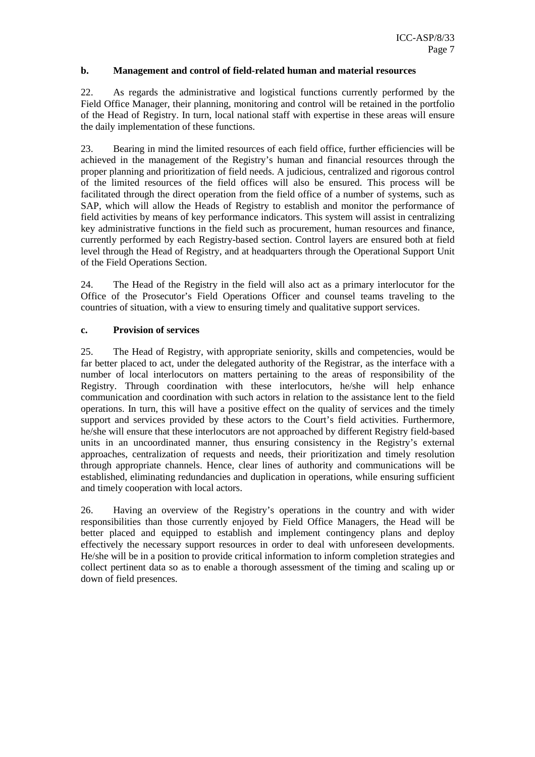#### **b. Management and control of field-related human and material resources**

22. As regards the administrative and logistical functions currently performed by the Field Office Manager, their planning, monitoring and control will be retained in the portfolio of the Head of Registry. In turn, local national staff with expertise in these areas will ensure the daily implementation of these functions.

23. Bearing in mind the limited resources of each field office, further efficiencies will be achieved in the management of the Registry's human and financial resources through the proper planning and prioritization of field needs. A judicious, centralized and rigorous control of the limited resources of the field offices will also be ensured. This process will be facilitated through the direct operation from the field office of a number of systems, such as SAP, which will allow the Heads of Registry to establish and monitor the performance of field activities by means of key performance indicators. This system will assist in centralizing key administrative functions in the field such as procurement, human resources and finance, currently performed by each Registry-based section. Control layers are ensured both at field level through the Head of Registry, and at headquarters through the Operational Support Unit of the Field Operations Section.

24. The Head of the Registry in the field will also act as a primary interlocutor for the Office of the Prosecutor's Field Operations Officer and counsel teams traveling to the countries of situation, with a view to ensuring timely and qualitative support services.

#### **c. Provision of services**

25. The Head of Registry, with appropriate seniority, skills and competencies, would be far better placed to act, under the delegated authority of the Registrar, as the interface with a number of local interlocutors on matters pertaining to the areas of responsibility of the Registry. Through coordination with these interlocutors, he/she will help enhance communication and coordination with such actors in relation to the assistance lent to the field operations. In turn, this will have a positive effect on the quality of services and the timely support and services provided by these actors to the Court's field activities. Furthermore, he/she will ensure that these interlocutors are not approached by different Registry field-based units in an uncoordinated manner, thus ensuring consistency in the Registry's external approaches, centralization of requests and needs, their prioritization and timely resolution through appropriate channels. Hence, clear lines of authority and communications will be established, eliminating redundancies and duplication in operations, while ensuring sufficient and timely cooperation with local actors.

26. Having an overview of the Registry's operations in the country and with wider responsibilities than those currently enjoyed by Field Office Managers, the Head will be better placed and equipped to establish and implement contingency plans and deploy effectively the necessary support resources in order to deal with unforeseen developments. He/she will be in a position to provide critical information to inform completion strategies and collect pertinent data so as to enable a thorough assessment of the timing and scaling up or down of field presences.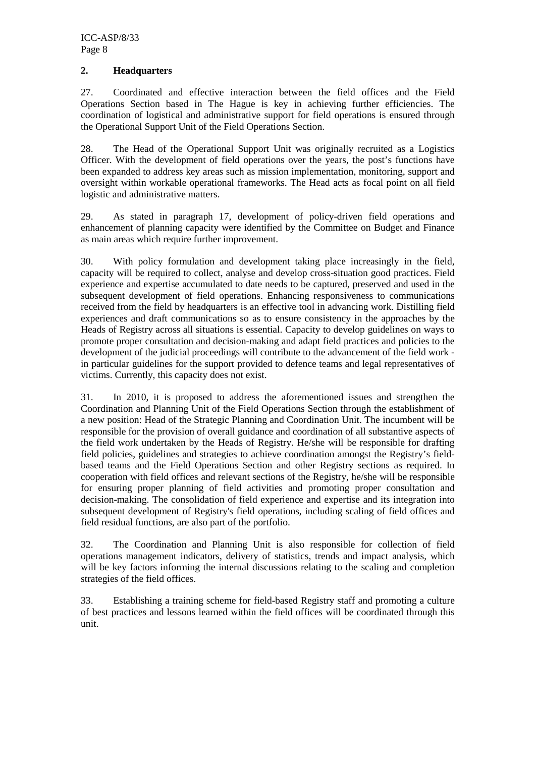#### **2. Headquarters**

27. Coordinated and effective interaction between the field offices and the Field Operations Section based in The Hague is key in achieving further efficiencies. The coordination of logistical and administrative support for field operations is ensured through the Operational Support Unit of the Field Operations Section.

28. The Head of the Operational Support Unit was originally recruited as a Logistics Officer. With the development of field operations over the years, the post's functions have been expanded to address key areas such as mission implementation, monitoring, support and oversight within workable operational frameworks. The Head acts as focal point on all field logistic and administrative matters.

29. As stated in paragraph 17, development of policy-driven field operations and enhancement of planning capacity were identified by the Committee on Budget and Finance as main areas which require further improvement.

30. With policy formulation and development taking place increasingly in the field, capacity will be required to collect, analyse and develop cross-situation good practices. Field experience and expertise accumulated to date needs to be captured, preserved and used in the subsequent development of field operations. Enhancing responsiveness to communications received from the field by headquarters is an effective tool in advancing work. Distilling field experiences and draft communications so as to ensure consistency in the approaches by the Heads of Registry across all situations is essential. Capacity to develop guidelines on ways to promote proper consultation and decision-making and adapt field practices and policies to the development of the judicial proceedings will contribute to the advancement of the field work in particular guidelines for the support provided to defence teams and legal representatives of victims. Currently, this capacity does not exist.

31. In 2010, it is proposed to address the aforementioned issues and strengthen the Coordination and Planning Unit of the Field Operations Section through the establishment of a new position: Head of the Strategic Planning and Coordination Unit. The incumbent will be responsible for the provision of overall guidance and coordination of all substantive aspects of the field work undertaken by the Heads of Registry. He/she will be responsible for drafting field policies, guidelines and strategies to achieve coordination amongst the Registry's fieldbased teams and the Field Operations Section and other Registry sections as required. In cooperation with field offices and relevant sections of the Registry, he/she will be responsible for ensuring proper planning of field activities and promoting proper consultation and decision-making. The consolidation of field experience and expertise and its integration into subsequent development of Registry's field operations, including scaling of field offices and field residual functions, are also part of the portfolio.

32. The Coordination and Planning Unit is also responsible for collection of field operations management indicators, delivery of statistics, trends and impact analysis, which will be key factors informing the internal discussions relating to the scaling and completion strategies of the field offices.

33. Establishing a training scheme for field-based Registry staff and promoting a culture of best practices and lessons learned within the field offices will be coordinated through this unit.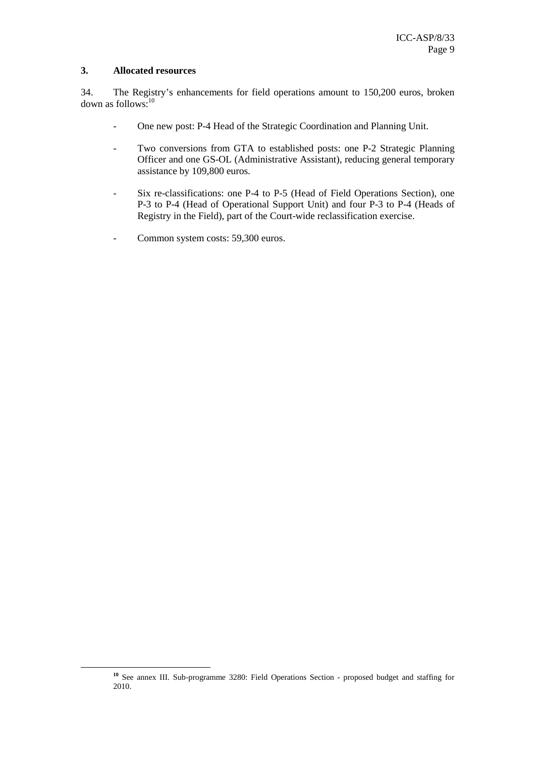#### **3. Allocated resources**

 $\overline{a}$ 

34. The Registry's enhancements for field operations amount to 150,200 euros, broken down as follows:<sup>10</sup>

- One new post: P-4 Head of the Strategic Coordination and Planning Unit.
- Two conversions from GTA to established posts: one P-2 Strategic Planning Officer and one GS-OL (Administrative Assistant), reducing general temporary assistance by 109,800 euros.
- Six re-classifications: one P-4 to P-5 (Head of Field Operations Section), one P-3 to P-4 (Head of Operational Support Unit) and four P-3 to P-4 (Heads of Registry in the Field), part of the Court-wide reclassification exercise.
- Common system costs: 59,300 euros.

**<sup>10</sup>** See annex III. Sub-programme 3280: Field Operations Section - proposed budget and staffing for 2010.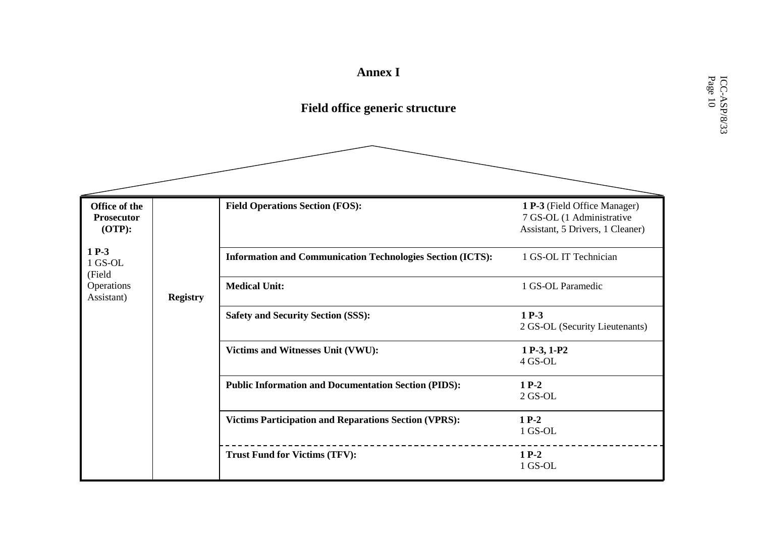# **Annex I**

# **Field office generic structure**

| Office of the<br><b>Prosecutor</b><br>$(OTP)$ : |                 | <b>Field Operations Section (FOS):</b>                            | 1 P-3 (Field Office Manager)<br>7 GS-OL (1 Administrative<br>Assistant, 5 Drivers, 1 Cleaner) |
|-------------------------------------------------|-----------------|-------------------------------------------------------------------|-----------------------------------------------------------------------------------------------|
| $1 P-3$<br>1 GS-OL<br>(Field                    |                 | <b>Information and Communication Technologies Section (ICTS):</b> | 1 GS-OL IT Technician                                                                         |
| Operations<br>Assistant)                        | <b>Registry</b> | <b>Medical Unit:</b>                                              | 1 GS-OL Paramedic                                                                             |
|                                                 |                 | <b>Safety and Security Section (SSS):</b>                         | $1 P-3$<br>2 GS-OL (Security Lieutenants)                                                     |
|                                                 |                 | Victims and Witnesses Unit (VWU):                                 | 1 P-3, 1-P2<br>4 GS-OL                                                                        |
|                                                 |                 | <b>Public Information and Documentation Section (PIDS):</b>       | $1 P-2$<br>$2$ GS-OL                                                                          |
|                                                 |                 | <b>Victims Participation and Reparations Section (VPRS):</b>      | $1 P-2$<br>1 GS-OL                                                                            |
|                                                 |                 | <b>Trust Fund for Victims (TFV):</b>                              | $1P-2$<br>1 GS-OL                                                                             |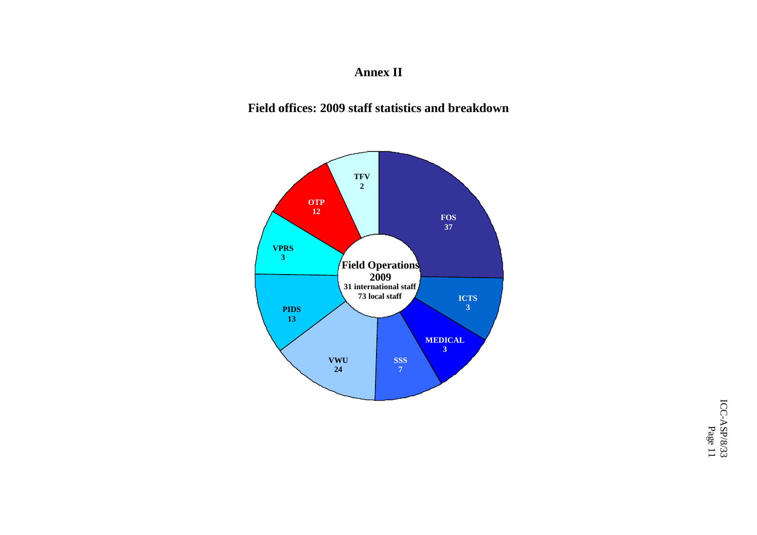# **Annex II**

## **Field offices: 2009 staff statistics and breakdown**



ICC-ASP/8/33  $\rm{ICC-ASP/8/33}$  Page 11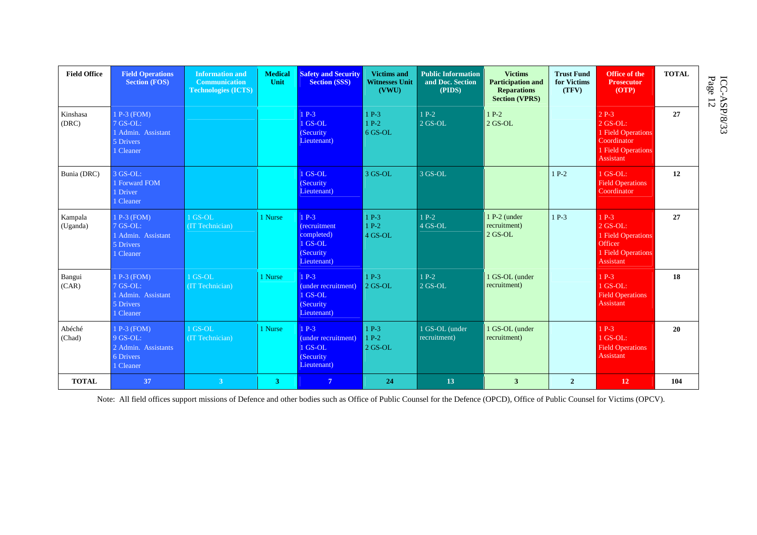| <b>Field Office</b> | <b>Field Operations</b><br><b>Section (FOS)</b>                            | <b>Information and</b><br><b>Communication</b><br><b>Technologies (ICTS)</b> | <b>Medical</b><br>Unit | <b>Safety and Security</b><br><b>Section (SSS)</b>                            | <b>Victims and</b><br><b>Witnesses Unit</b><br>(VWU) | <b>Public Information</b><br>and Doc. Section<br>(PIDS) | <b>Victims</b><br><b>Participation and</b><br><b>Reparations</b><br><b>Section (VPRS)</b> | <b>Trust Fund</b><br>for Victims<br>(TFV) | Office of the<br><b>Prosecutor</b><br>(OTP)                                                  | <b>TOTAL</b> | ICC-<br>Page<br>$\frac{45}{12}$ |
|---------------------|----------------------------------------------------------------------------|------------------------------------------------------------------------------|------------------------|-------------------------------------------------------------------------------|------------------------------------------------------|---------------------------------------------------------|-------------------------------------------------------------------------------------------|-------------------------------------------|----------------------------------------------------------------------------------------------|--------------|---------------------------------|
| Kinshasa<br>(DRC)   | 1 P-3 (FOM)<br>7 GS-OL:<br>1 Admin. Assistant<br>5 Drivers<br>1 Cleaner    |                                                                              |                        | $1P-3$<br>1 GS-OL<br>(Security)<br>Lieutenant)                                | $1 P-3$<br>$1 P-2$<br>6 GS-OL                        | $1 P-2$<br>$2$ GS-OL                                    | $1 P-2$<br>$2$ GS-OL                                                                      |                                           | $2P-3$<br>$2$ GS-OL:<br>1 Field Operations<br>Coordinator<br>1 Field Operations<br>Assistant | 27           |                                 |
| Bunia (DRC)         | $3$ GS-OL:<br>1 Forward FOM<br>1 Driver<br>1 Cleaner                       |                                                                              |                        | 1 GS-OL<br>(Security)<br>Lieutenant)                                          | 3 GS-OL                                              | 3 GS-OL                                                 |                                                                                           | $1 P-2$                                   | $1$ GS-OL:<br><b>Field Operations</b><br>Coordinator                                         | 12           |                                 |
| Kampala<br>(Uganda) | 1 P-3 (FOM)<br>$7$ GS-OL:<br>1 Admin. Assistant<br>5 Drivers<br>1 Cleaner  | 1 GS-OL<br>(IT Technician)                                                   | 1 Nurse                | $1 P-3$<br>(recruitment<br>completed)<br>1 GS-OL<br>(Security)<br>Lieutenant) | $1 P-3$<br>$1 P-2$<br>4 GS-OL                        | $1 P-2$<br>$4$ GS-OL                                    | 1 P-2 (under<br>recruitment)<br>$2$ GS-OL                                                 | $1 P-3$                                   | $1 P-3$<br>$2$ GS-OL:<br>1 Field Operations<br>Officer<br>1 Field Operations<br>Assistant    | 27           |                                 |
| Bangui<br>(CAR)     | 1 P-3 (FOM)<br>7 GS-OL:<br>1 Admin. Assistant<br>5 Drivers<br>1 Cleaner    | 1 GS-OL<br>(IT Technician)                                                   | 1 Nurse                | $1 P-3$<br>(under recruitment)<br>1 GS-OL<br>(Security)<br>Lieutenant)        | $1 P-3$<br>$2$ GS-OL                                 | $1 P-2$<br>$2$ GS-OL                                    | 1 GS-OL (under<br>recruitment)                                                            |                                           | $1 P-3$<br>$1$ GS-OL:<br><b>Field Operations</b><br>Assistant                                | 18           |                                 |
| Abéché<br>(Chad)    | 1 P-3 (FOM)<br>$9$ GS-OL:<br>2 Admin. Assistants<br>6 Drivers<br>1 Cleaner | $1$ GS-OL<br>(IT Technician)                                                 | 1 Nurse                | $1P-3$<br>(under recruitment)<br>1 GS-OL<br>(Security)<br>Lieutenant)         | $1 P-3$<br>$1P-2$<br>$2$ GS-OL                       | 1 GS-OL (under<br>recruitment)                          | 1 GS-OL (under<br>recruitment)                                                            |                                           | $1 P-3$<br>$1$ GS-OL:<br><b>Field Operations</b><br>Assistant                                | 20           |                                 |
| <b>TOTAL</b>        | 37                                                                         | 3 <sup>7</sup>                                                               | 3                      | $\overline{7}$                                                                | 24                                                   | 13                                                      | $\overline{3}$                                                                            | $\overline{2}$                            | <b>12</b>                                                                                    | 104          |                                 |

Note: All field offices support missions of Defence and other bodies such as Office of Public Counsel for the Defence (OPCD), Office of Public Counsel for Victims (OPCV).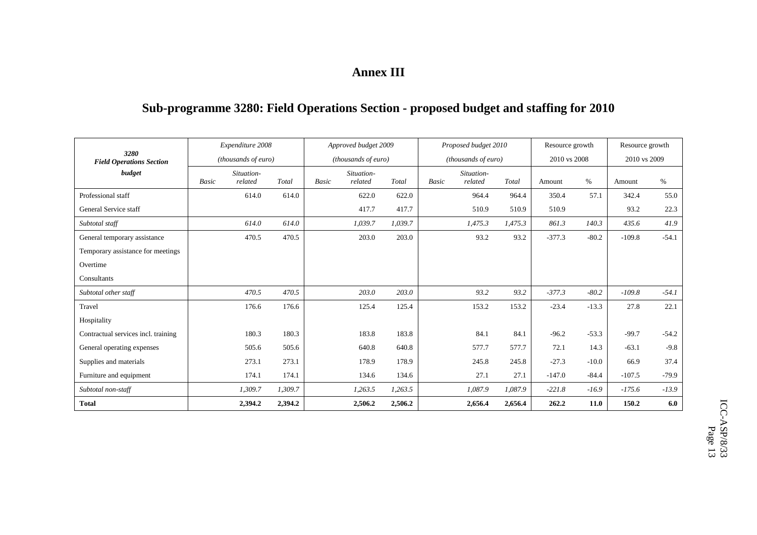## **Annex III**

## **Sub-programme 3280: Field Operations Section - proposed budget and staffing for 2010**

| 3280                                | Expenditure 2008<br>(thousands of euro) |            |         |                     | Approved budget 2009 |         |       | Proposed budget 2010 |         | Resource growth |         | Resource growth |         |
|-------------------------------------|-----------------------------------------|------------|---------|---------------------|----------------------|---------|-------|----------------------|---------|-----------------|---------|-----------------|---------|
| <b>Field Operations Section</b>     |                                         |            |         | (thousands of euro) |                      |         |       | (thousands of euro)  |         | 2010 vs 2008    |         | 2010 vs 2009    |         |
| budget                              |                                         | Situation- |         |                     | Situation-           |         |       | Situation-           |         |                 |         |                 |         |
|                                     | Basic                                   | related    | Total   | <b>Basic</b>        | related              | Total   | Basic | related              | Total   | Amount          | $\%$    | Amount          | $\%$    |
| Professional staff                  |                                         | 614.0      | 614.0   |                     | 622.0                | 622.0   |       | 964.4                | 964.4   | 350.4           | 57.1    | 342.4           | 55.0    |
| General Service staff               |                                         |            |         |                     | 417.7                | 417.7   |       | 510.9                | 510.9   | 510.9           |         | 93.2            | 22.3    |
| Subtotal staff                      |                                         | 614.0      | 614.0   |                     | 1,039.7              | 1,039.7 |       | 1,475.3              | 1,475.3 | 861.3           | 140.3   | 435.6           | 41.9    |
| General temporary assistance        |                                         | 470.5      | 470.5   |                     | 203.0                | 203.0   |       | 93.2                 | 93.2    | $-377.3$        | $-80.2$ | $-109.8$        | $-54.1$ |
| Temporary assistance for meetings   |                                         |            |         |                     |                      |         |       |                      |         |                 |         |                 |         |
| Overtime                            |                                         |            |         |                     |                      |         |       |                      |         |                 |         |                 |         |
| Consultants                         |                                         |            |         |                     |                      |         |       |                      |         |                 |         |                 |         |
| Subtotal other staff                |                                         | 470.5      | 470.5   |                     | 203.0                | 203.0   |       | 93.2                 | 93.2    | $-377.3$        | $-80.2$ | $-109.8$        | $-54.1$ |
| Travel                              |                                         | 176.6      | 176.6   |                     | 125.4                | 125.4   |       | 153.2                | 153.2   | $-23.4$         | $-13.3$ | 27.8            | 22.1    |
| Hospitality                         |                                         |            |         |                     |                      |         |       |                      |         |                 |         |                 |         |
| Contractual services incl. training |                                         | 180.3      | 180.3   |                     | 183.8                | 183.8   |       | 84.1                 | 84.1    | $-96.2$         | $-53.3$ | $-99.7$         | $-54.2$ |
| General operating expenses          |                                         | 505.6      | 505.6   |                     | 640.8                | 640.8   |       | 577.7                | 577.7   | 72.1            | 14.3    | $-63.1$         | $-9.8$  |
| Supplies and materials              |                                         | 273.1      | 273.1   |                     | 178.9                | 178.9   |       | 245.8                | 245.8   | $-27.3$         | $-10.0$ | 66.9            | 37.4    |
| Furniture and equipment             |                                         | 174.1      | 174.1   |                     | 134.6                | 134.6   |       | 27.1                 | 27.1    | $-147.0$        | $-84.4$ | $-107.5$        | $-79.9$ |
| Subtotal non-staff                  |                                         | 1,309.7    | 1,309.7 |                     | 1,263.5              | 1,263.5 |       | 1,087.9              | 1,087.9 | $-221.8$        | $-16.9$ | $-175.6$        | $-13.9$ |
| <b>Total</b>                        |                                         | 2,394.2    | 2,394.2 |                     | 2,506.2              | 2,506.2 |       | 2,656.4              | 2,656.4 | 262.2           | 11.0    | 150.2           | 6.0     |